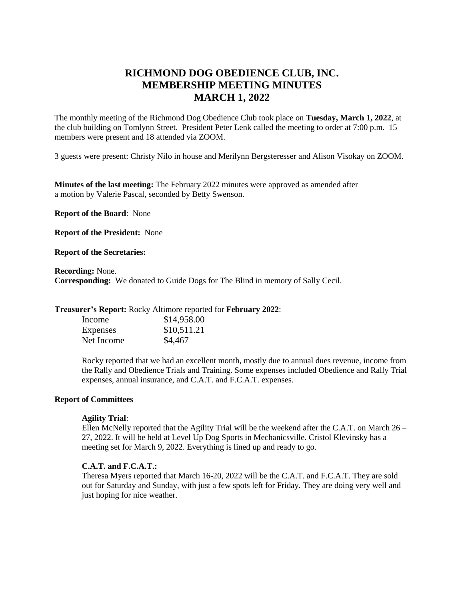# **RICHMOND DOG OBEDIENCE CLUB, INC. MEMBERSHIP MEETING MINUTES MARCH 1, 2022**

The monthly meeting of the Richmond Dog Obedience Club took place on **Tuesday, March 1, 2022**, at the club building on Tomlynn Street. President Peter Lenk called the meeting to order at 7:00 p.m. 15 members were present and 18 attended via ZOOM.

3 guests were present: Christy Nilo in house and Merilynn Bergsteresser and Alison Visokay on ZOOM.

**Minutes of the last meeting:** The February 2022 minutes were approved as amended after a motion by Valerie Pascal, seconded by Betty Swenson.

**Report of the Board**: None

**Report of the President:** None

**Report of the Secretaries:** 

**Recording:** None. **Corresponding:** We donated to Guide Dogs for The Blind in memory of Sally Cecil.

**Treasurer's Report:** Rocky Altimore reported for **February 2022**:

| Income     | \$14,958.00 |
|------------|-------------|
| Expenses   | \$10,511.21 |
| Net Income | \$4,467     |

Rocky reported that we had an excellent month, mostly due to annual dues revenue, income from the Rally and Obedience Trials and Training. Some expenses included Obedience and Rally Trial expenses, annual insurance, and C.A.T. and F.C.A.T. expenses.

## **Report of Committees**

#### **Agility Trial**:

Ellen McNelly reported that the Agility Trial will be the weekend after the C.A.T. on March  $26 -$ 27, 2022. It will be held at Level Up Dog Sports in Mechanicsville. Cristol Klevinsky has a meeting set for March 9, 2022. Everything is lined up and ready to go.

## **C.A.T. and F.C.A.T.:**

Theresa Myers reported that March 16-20, 2022 will be the C.A.T. and F.C.A.T. They are sold out for Saturday and Sunday, with just a few spots left for Friday. They are doing very well and just hoping for nice weather.